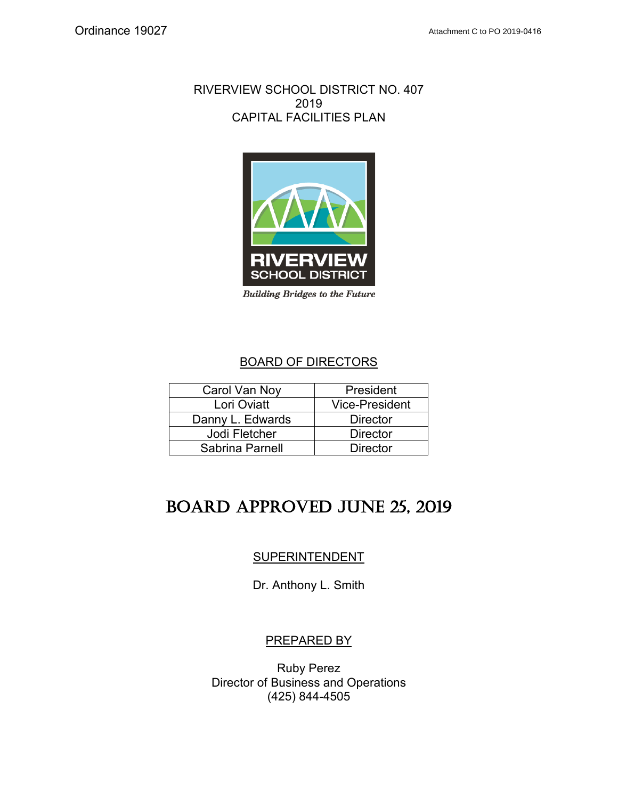### RIVERVIEW SCHOOL DISTRICT NO. 407 2019 CAPITAL FACILITIES PLAN



*Building Bridges to the Future*

## BOARD OF DIRECTORS

| Carol Van Noy    | President             |
|------------------|-----------------------|
| Lori Oviatt      | <b>Vice-President</b> |
| Danny L. Edwards | <b>Director</b>       |
| Jodi Fletcher    | <b>Director</b>       |
| Sabrina Parnell  | <b>Director</b>       |

# Board Approved June 25, 2019

## **SUPERINTENDENT**

Dr. Anthony L. Smith

## PREPARED BY

Ruby Perez Director of Business and Operations (425) 844-4505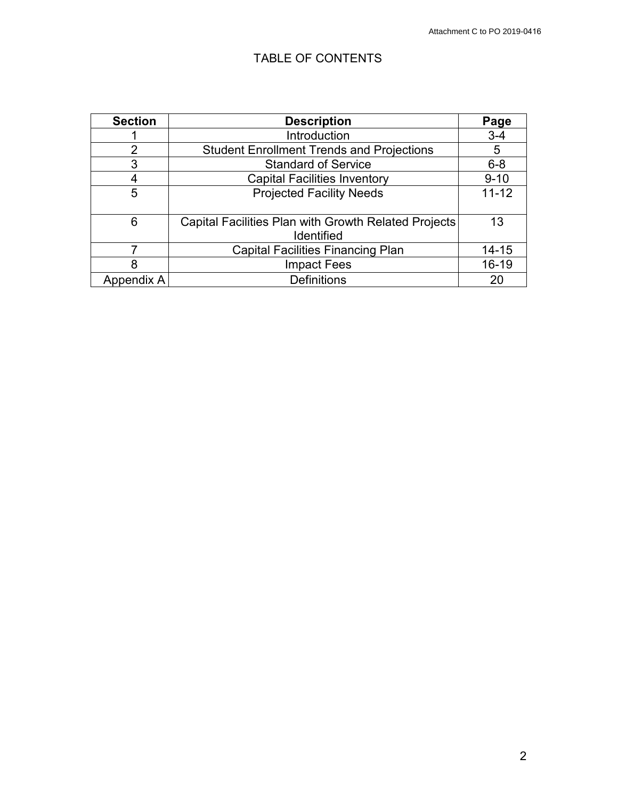## TABLE OF CONTENTS

| <b>Section</b> | <b>Description</b>                                   | Page      |
|----------------|------------------------------------------------------|-----------|
|                | Introduction                                         | $3 - 4$   |
| 2              | <b>Student Enrollment Trends and Projections</b>     | 5         |
| 3              | <b>Standard of Service</b>                           | $6 - 8$   |
|                | <b>Capital Facilities Inventory</b>                  | $9 - 10$  |
| 5              | <b>Projected Facility Needs</b>                      | $11 - 12$ |
|                |                                                      |           |
| 6              | Capital Facilities Plan with Growth Related Projects | 13        |
|                | <b>Identified</b>                                    |           |
|                | <b>Capital Facilities Financing Plan</b>             | $14 - 15$ |
| 8              | <b>Impact Fees</b>                                   | $16 - 19$ |
| Appendix A     | <b>Definitions</b>                                   | 20        |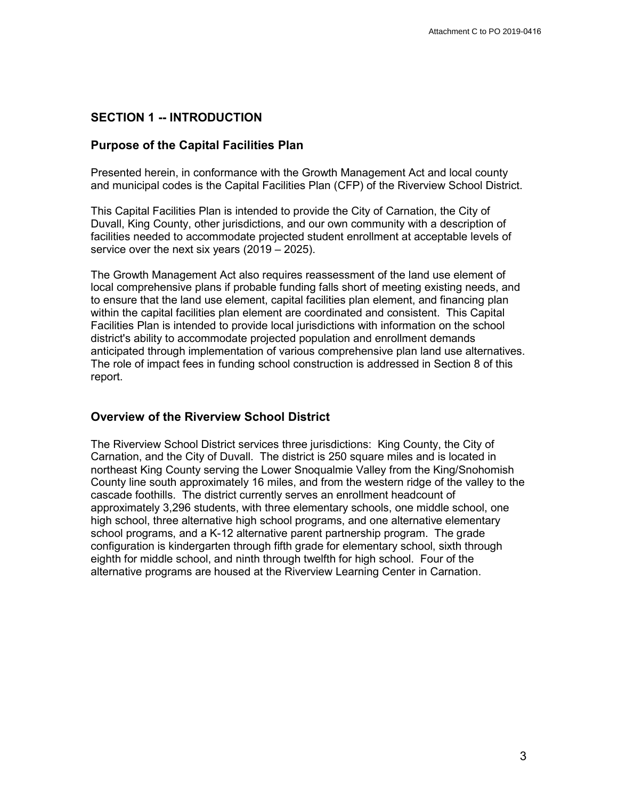#### **SECTION 1 -- INTRODUCTION**

#### **Purpose of the Capital Facilities Plan**

Presented herein, in conformance with the Growth Management Act and local county and municipal codes is the Capital Facilities Plan (CFP) of the Riverview School District.

This Capital Facilities Plan is intended to provide the City of Carnation, the City of Duvall, King County, other jurisdictions, and our own community with a description of facilities needed to accommodate projected student enrollment at acceptable levels of service over the next six years (2019 – 2025).

The Growth Management Act also requires reassessment of the land use element of local comprehensive plans if probable funding falls short of meeting existing needs, and to ensure that the land use element, capital facilities plan element, and financing plan within the capital facilities plan element are coordinated and consistent. This Capital Facilities Plan is intended to provide local jurisdictions with information on the school district's ability to accommodate projected population and enrollment demands anticipated through implementation of various comprehensive plan land use alternatives. The role of impact fees in funding school construction is addressed in Section 8 of this report.

#### **Overview of the Riverview School District**

The Riverview School District services three jurisdictions: King County, the City of Carnation, and the City of Duvall. The district is 250 square miles and is located in northeast King County serving the Lower Snoqualmie Valley from the King/Snohomish County line south approximately 16 miles, and from the western ridge of the valley to the cascade foothills. The district currently serves an enrollment headcount of approximately 3,296 students, with three elementary schools, one middle school, one high school, three alternative high school programs, and one alternative elementary school programs, and a K-12 alternative parent partnership program. The grade configuration is kindergarten through fifth grade for elementary school, sixth through eighth for middle school, and ninth through twelfth for high school. Four of the alternative programs are housed at the Riverview Learning Center in Carnation.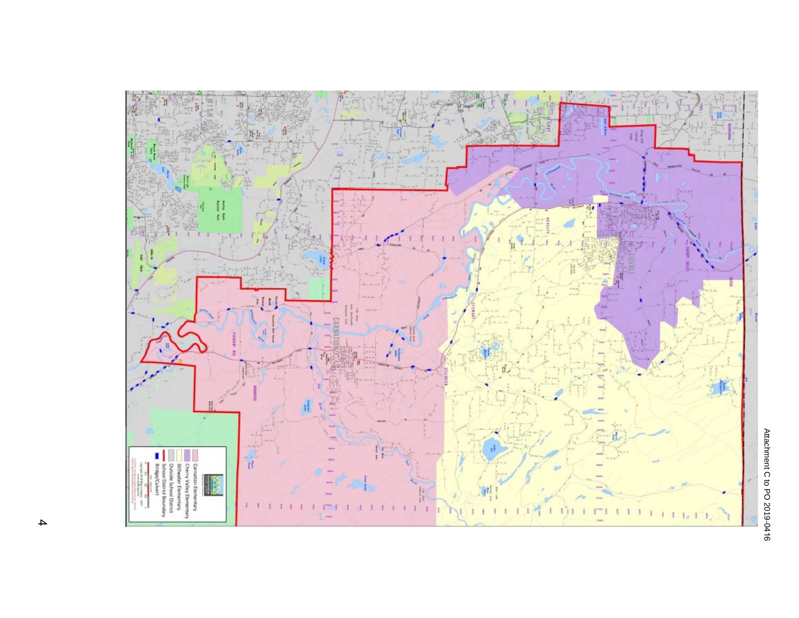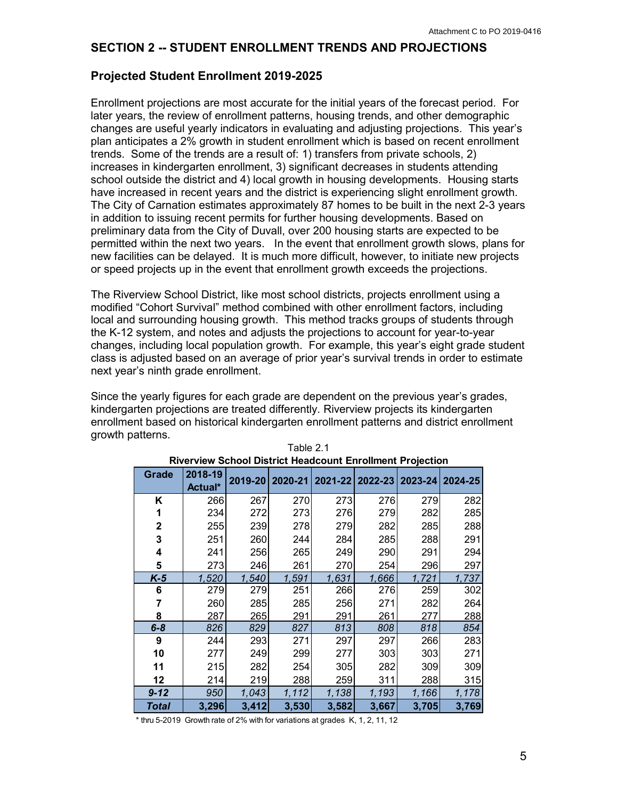#### **SECTION 2 -- STUDENT ENROLLMENT TRENDS AND PROJECTIONS**

### **Projected Student Enrollment 2019-2025**

Enrollment projections are most accurate for the initial years of the forecast period. For later years, the review of enrollment patterns, housing trends, and other demographic changes are useful yearly indicators in evaluating and adjusting projections. This year's plan anticipates a 2% growth in student enrollment which is based on recent enrollment trends. Some of the trends are a result of: 1) transfers from private schools, 2) increases in kindergarten enrollment, 3) significant decreases in students attending school outside the district and 4) local growth in housing developments. Housing starts have increased in recent years and the district is experiencing slight enrollment growth. The City of Carnation estimates approximately 87 homes to be built in the next 2-3 years in addition to issuing recent permits for further housing developments. Based on preliminary data from the City of Duvall, over 200 housing starts are expected to be permitted within the next two years. In the event that enrollment growth slows, plans for new facilities can be delayed. It is much more difficult, however, to initiate new projects or speed projects up in the event that enrollment growth exceeds the projections.

The Riverview School District, like most school districts, projects enrollment using a modified "Cohort Survival" method combined with other enrollment factors, including local and surrounding housing growth. This method tracks groups of students through the K-12 system, and notes and adjusts the projections to account for year-to-year changes, including local population growth. For example, this year's eight grade student class is adjusted based on an average of prior year's survival trends in order to estimate next year's ninth grade enrollment.

Since the yearly figures for each grade are dependent on the previous year's grades, kindergarten projections are treated differently. Riverview projects its kindergarten enrollment based on historical kindergarten enrollment patterns and district enrollment growth patterns.  $T_{\text{S}}$  1.1.  $R_{\text{A}}$ 

| <b>Hougooght Enromnont Frojection</b> |                    |         |       |                             |       |       |                 |  |  |  |
|---------------------------------------|--------------------|---------|-------|-----------------------------|-------|-------|-----------------|--|--|--|
| Grade                                 | 2018-19<br>Actual* | 2019-20 |       | 2020-21   2021-22   2022-23 |       |       | 2023-24 2024-25 |  |  |  |
| Κ                                     |                    |         |       |                             |       |       |                 |  |  |  |
|                                       | 266                | 267     | 270   | 273                         | 276   | 279   | 282             |  |  |  |
| 1                                     | 234                | 272     | 273   | 276                         | 279   | 282   | 285             |  |  |  |
| 2                                     | 255                | 239     | 278   | 279                         | 282   | 285   | 288             |  |  |  |
| 3                                     | 251                | 260     | 244   | 284                         | 285   | 288   | 291             |  |  |  |
| 4                                     | 241                | 256     | 265   | 249                         | 290   | 291   | 294             |  |  |  |
| 5                                     | 273                | 246     | 261   | 270                         | 254   | 296   | 297             |  |  |  |
| $K-5$                                 | 1,520              | 1,540   | 1,591 | 1,631                       | 1,666 | 1,721 | 1,737           |  |  |  |
| 6                                     | 279                | 279     | 251   | 266                         | 276   | 259   | 302             |  |  |  |
| 7                                     | 260                | 285     | 285   | 256                         | 271   | 282   | 264             |  |  |  |
| 8                                     | 287                | 265     | 291   | 291                         | 261   | 277   | 288             |  |  |  |
| $6 - 8$                               | 826                | 829     | 827   | 813                         | 808   | 818   | 854             |  |  |  |
| 9                                     | 244                | 293     | 271   | 297                         | 297   | 266   | 283             |  |  |  |
| 10                                    | 277                | 249     | 299   | 277                         | 303   | 303   | 271             |  |  |  |
| 11                                    | 215                | 282     | 254   | 305                         | 282   | 309   | 309             |  |  |  |
| 12                                    | 214                | 219     | 288   | 259                         | 311   | 288   | 315             |  |  |  |
| $9 - 12$                              | 950                | 1,043   | 1,112 | 1,138                       | 1,193 | 1,166 | 1,178           |  |  |  |
| <b>Total</b>                          | 3,296              | 3,412   | 3,530 | 3,582                       | 3,667 | 3,705 | 3,769           |  |  |  |

| Table 2.1                                                        |
|------------------------------------------------------------------|
| <b>Riverview School District Headcount Enrollment Projection</b> |

\* thru 5-2019 Growth rate of 2% with for variations at grades K, 1, 2, 11, 12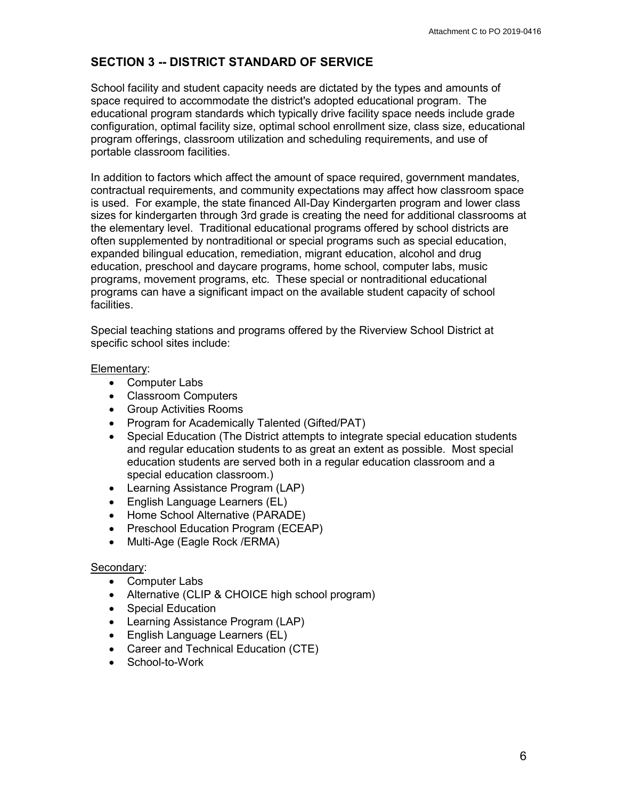## **SECTION 3 -- DISTRICT STANDARD OF SERVICE**

School facility and student capacity needs are dictated by the types and amounts of space required to accommodate the district's adopted educational program. The educational program standards which typically drive facility space needs include grade configuration, optimal facility size, optimal school enrollment size, class size, educational program offerings, classroom utilization and scheduling requirements, and use of portable classroom facilities.

In addition to factors which affect the amount of space required, government mandates, contractual requirements, and community expectations may affect how classroom space is used. For example, the state financed All-Day Kindergarten program and lower class sizes for kindergarten through 3rd grade is creating the need for additional classrooms at the elementary level. Traditional educational programs offered by school districts are often supplemented by nontraditional or special programs such as special education, expanded bilingual education, remediation, migrant education, alcohol and drug education, preschool and daycare programs, home school, computer labs, music programs, movement programs, etc. These special or nontraditional educational programs can have a significant impact on the available student capacity of school facilities.

Special teaching stations and programs offered by the Riverview School District at specific school sites include:

#### Elementary:

- Computer Labs
- Classroom Computers
- Group Activities Rooms
- Program for Academically Talented (Gifted/PAT)
- Special Education (The District attempts to integrate special education students and regular education students to as great an extent as possible. Most special education students are served both in a regular education classroom and a special education classroom.)
- Learning Assistance Program (LAP)
- English Language Learners (EL)
- Home School Alternative (PARADE)
- Preschool Education Program (ECEAP)
- Multi-Age (Eagle Rock /ERMA)

#### Secondary:

- Computer Labs
- Alternative (CLIP & CHOICE high school program)
- Special Education
- Learning Assistance Program (LAP)
- English Language Learners (EL)
- Career and Technical Education (CTE)
- School-to-Work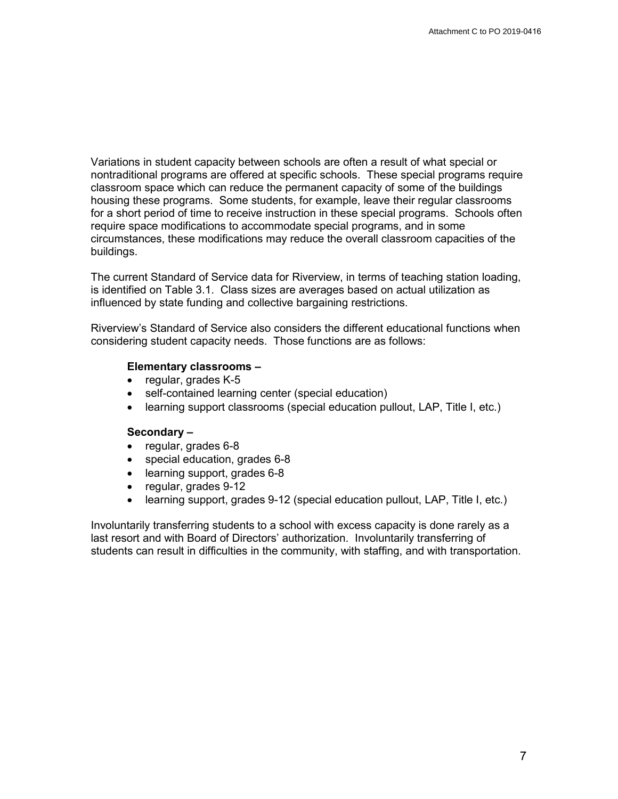Variations in student capacity between schools are often a result of what special or nontraditional programs are offered at specific schools. These special programs require classroom space which can reduce the permanent capacity of some of the buildings housing these programs. Some students, for example, leave their regular classrooms for a short period of time to receive instruction in these special programs. Schools often require space modifications to accommodate special programs, and in some circumstances, these modifications may reduce the overall classroom capacities of the buildings.

The current Standard of Service data for Riverview, in terms of teaching station loading, is identified on Table 3.1. Class sizes are averages based on actual utilization as influenced by state funding and collective bargaining restrictions.

Riverview's Standard of Service also considers the different educational functions when considering student capacity needs. Those functions are as follows:

#### **Elementary classrooms –**

- regular, grades K-5
- self-contained learning center (special education)
- learning support classrooms (special education pullout, LAP, Title I, etc.)

#### **Secondary –**

- regular, grades 6-8
- special education, grades 6-8
- learning support, grades 6-8
- regular, grades 9-12
- learning support, grades 9-12 (special education pullout, LAP, Title I, etc.)

Involuntarily transferring students to a school with excess capacity is done rarely as a last resort and with Board of Directors' authorization. Involuntarily transferring of students can result in difficulties in the community, with staffing, and with transportation.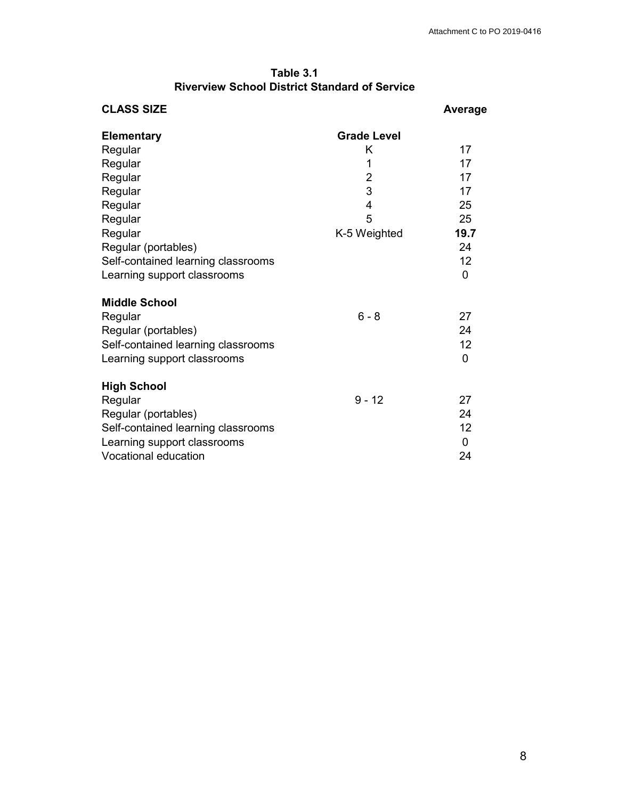### **Table 3.1 Riverview School District Standard of Service**

| <b>CLASS SIZE</b>                  |                    | <b>Average</b> |
|------------------------------------|--------------------|----------------|
| <b>Elementary</b>                  | <b>Grade Level</b> |                |
| Regular                            | K                  | 17             |
| Regular                            | 1                  | 17             |
| Regular                            | $\overline{2}$     | 17             |
| Regular                            | 3                  | 17             |
| Regular                            | 4                  | 25             |
| Regular                            | 5                  | 25             |
| Regular                            | K-5 Weighted       | 19.7           |
| Regular (portables)                |                    | 24             |
| Self-contained learning classrooms |                    | 12             |
| Learning support classrooms        |                    | $\mathbf 0$    |
| <b>Middle School</b>               |                    |                |
| Regular                            | $6 - 8$            | 27             |
| Regular (portables)                |                    | 24             |
| Self-contained learning classrooms |                    | 12             |
| Learning support classrooms        |                    | 0              |
| <b>High School</b>                 |                    |                |
| Regular                            | $9 - 12$           | 27             |
| Regular (portables)                |                    | 24             |
| Self-contained learning classrooms |                    | 12             |
| Learning support classrooms        |                    | 0              |
| <b>Vocational education</b>        |                    | 24             |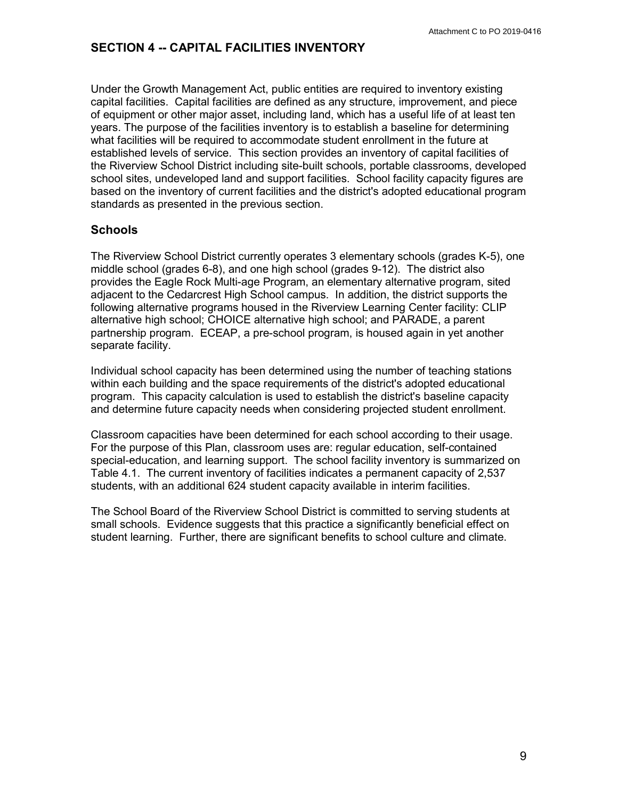### **SECTION 4 -- CAPITAL FACILITIES INVENTORY**

Under the Growth Management Act, public entities are required to inventory existing capital facilities. Capital facilities are defined as any structure, improvement, and piece of equipment or other major asset, including land, which has a useful life of at least ten years. The purpose of the facilities inventory is to establish a baseline for determining what facilities will be required to accommodate student enrollment in the future at established levels of service. This section provides an inventory of capital facilities of the Riverview School District including site-built schools, portable classrooms, developed school sites, undeveloped land and support facilities. School facility capacity figures are based on the inventory of current facilities and the district's adopted educational program standards as presented in the previous section.

### **Schools**

The Riverview School District currently operates 3 elementary schools (grades K-5), one middle school (grades 6-8), and one high school (grades 9-12). The district also provides the Eagle Rock Multi-age Program, an elementary alternative program, sited adjacent to the Cedarcrest High School campus. In addition, the district supports the following alternative programs housed in the Riverview Learning Center facility: CLIP alternative high school; CHOICE alternative high school; and PARADE, a parent partnership program. ECEAP, a pre-school program, is housed again in yet another separate facility.

Individual school capacity has been determined using the number of teaching stations within each building and the space requirements of the district's adopted educational program. This capacity calculation is used to establish the district's baseline capacity and determine future capacity needs when considering projected student enrollment.

Classroom capacities have been determined for each school according to their usage. For the purpose of this Plan, classroom uses are: regular education, self-contained special-education, and learning support. The school facility inventory is summarized on Table 4.1. The current inventory of facilities indicates a permanent capacity of 2,537 students, with an additional 624 student capacity available in interim facilities.

The School Board of the Riverview School District is committed to serving students at small schools. Evidence suggests that this practice a significantly beneficial effect on student learning. Further, there are significant benefits to school culture and climate.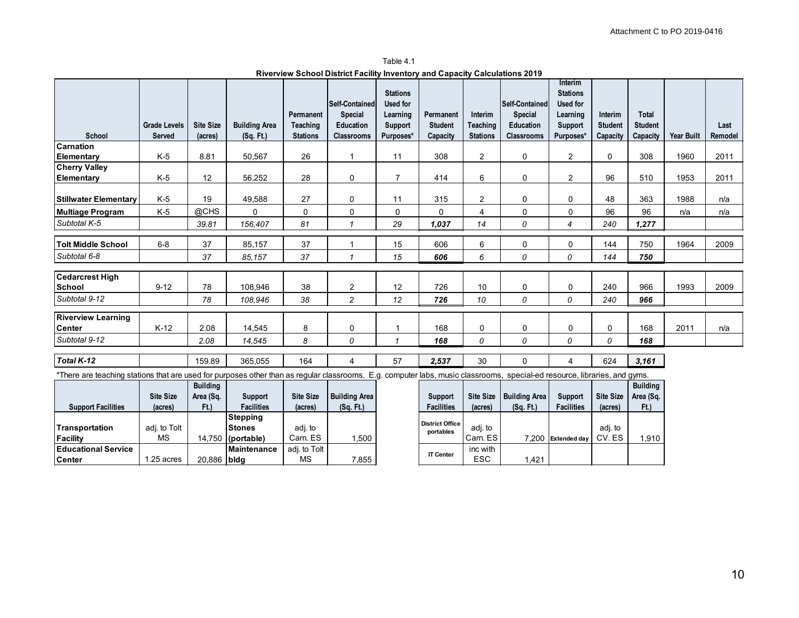**Riverview School District Facility Inventory and Capacity Calculations 2019** Table 4.1

|                                                                                                                                                                           |                                      |                             |                                   |                                          |                                                                    | <b>Stations</b>                                     |                                         |                                        |                                                                    | Interim<br><b>Stations</b>                   |                                       |                                            |                   |                 |
|---------------------------------------------------------------------------------------------------------------------------------------------------------------------------|--------------------------------------|-----------------------------|-----------------------------------|------------------------------------------|--------------------------------------------------------------------|-----------------------------------------------------|-----------------------------------------|----------------------------------------|--------------------------------------------------------------------|----------------------------------------------|---------------------------------------|--------------------------------------------|-------------------|-----------------|
| School                                                                                                                                                                    | <b>Grade Levels</b><br><b>Served</b> | <b>Site Size</b><br>(acres) | <b>Building Area</b><br>(Sq. Ft.) | Permanent<br>Teaching<br><b>Stations</b> | <b>Self-Contained</b><br>Special<br>Education<br><b>Classrooms</b> | Used for<br>Learning<br><b>Support</b><br>Purposes* | Permanent<br><b>Student</b><br>Capacity | Interim<br>Teaching<br><b>Stations</b> | <b>Self Contained</b><br><b>Special</b><br>Education<br>Classrooms | Used for<br>Learning<br>Support<br>Purposes* | Interim<br><b>Student</b><br>Capacity | <b>Total</b><br><b>Student</b><br>Capacity | <b>Year Built</b> | Last<br>Remodel |
| <b>Carnation</b>                                                                                                                                                          |                                      |                             |                                   |                                          |                                                                    |                                                     |                                         |                                        |                                                                    |                                              |                                       |                                            |                   |                 |
| Elementary                                                                                                                                                                | K-5                                  | 8.81                        | 50,567                            | 26                                       |                                                                    | 11                                                  | 308                                     | $\mathbf{2}$                           | 0                                                                  | $\overline{c}$                               | 0                                     | 308                                        | 1960              | 2011            |
| <b>Cherry Valley</b>                                                                                                                                                      |                                      |                             |                                   |                                          |                                                                    |                                                     |                                         |                                        |                                                                    |                                              |                                       |                                            |                   |                 |
| <b>Elementary</b>                                                                                                                                                         | K-5                                  | 12                          | 56,252                            | 28                                       | 0                                                                  | $\overline{7}$                                      | 414                                     | 6                                      | 0                                                                  | $\mathbf{2}$                                 | 96                                    | 510                                        | 1953              | 2011            |
|                                                                                                                                                                           |                                      |                             |                                   |                                          |                                                                    |                                                     |                                         |                                        |                                                                    |                                              |                                       |                                            |                   |                 |
| <b>Stillwater Elementary</b>                                                                                                                                              | K-5                                  | 19                          | 49,588                            | 27                                       | 0                                                                  | 11                                                  | 315                                     | 2                                      | 0                                                                  | 0                                            | 48                                    | 363                                        | 1988              | n/a             |
| Multiage Program                                                                                                                                                          | $K-5$                                | @CHS                        | $\Omega$                          | 0                                        | 0                                                                  | 0                                                   | 0                                       | $\overline{4}$                         | 0                                                                  | 0                                            | 96                                    | 96                                         | n/a               | n/a             |
| Subtotal K-5                                                                                                                                                              |                                      | 39.81                       | 156,407                           | 81                                       | $\mathbf{1}$                                                       | 29                                                  | 1,037                                   | 14                                     | 0                                                                  | 4                                            | 240                                   | 1,277                                      |                   |                 |
|                                                                                                                                                                           |                                      |                             |                                   |                                          |                                                                    |                                                     |                                         |                                        |                                                                    |                                              |                                       |                                            |                   |                 |
| <b>Tolt Middle School</b>                                                                                                                                                 | $6 - 8$                              | 37                          | 85,157                            | 37                                       | $\overline{1}$                                                     | 15                                                  | 606                                     | 6                                      | 0                                                                  | 0                                            | 144                                   | 750                                        | 1964              | 2009            |
| Subtotal 6-8                                                                                                                                                              |                                      | 37                          | 85.157                            | 37                                       | $\mathbf{1}$                                                       | 15                                                  | 606                                     | 6                                      | 0                                                                  | 0                                            | 144                                   | 750                                        |                   |                 |
| Cedarcrest High                                                                                                                                                           |                                      |                             |                                   |                                          |                                                                    |                                                     |                                         |                                        |                                                                    |                                              |                                       |                                            |                   |                 |
| <b>School</b>                                                                                                                                                             | $9 - 12$                             | 78                          | 108,946                           | 38                                       | 2                                                                  | 12                                                  | 726                                     | 10                                     | 0                                                                  | 0                                            | 240                                   | 966                                        | 1993              | 2009            |
| Subtotal 9-12                                                                                                                                                             |                                      | 78                          | 108,946                           | 38                                       | $\overline{c}$                                                     | 12                                                  | 726                                     | 10                                     | $\Omega$                                                           | 0                                            | 240                                   | 966                                        |                   |                 |
|                                                                                                                                                                           |                                      |                             |                                   |                                          |                                                                    |                                                     |                                         |                                        |                                                                    |                                              |                                       |                                            |                   |                 |
| <b>Riverview Learning</b>                                                                                                                                                 |                                      |                             |                                   |                                          |                                                                    |                                                     |                                         |                                        |                                                                    |                                              |                                       |                                            |                   |                 |
| lCenter                                                                                                                                                                   | $K-12$                               | 2.08                        | 14,545                            | 8                                        | 0                                                                  | 1                                                   | 168                                     | $\mathbf 0$                            | 0                                                                  | 0                                            | 0                                     | 168                                        | 2011              | n/a             |
| Subtotal 9-12                                                                                                                                                             |                                      | 2.08                        | 14,545                            | 8                                        | 0                                                                  | $\mathbf{1}$                                        | 168                                     | 0                                      | 0                                                                  | 0                                            | 0                                     | 168                                        |                   |                 |
| Total K-12                                                                                                                                                                |                                      | 159.89                      | 365,055                           | 164                                      | $\overline{4}$                                                     | 57                                                  | 2,537                                   | 30                                     | 0                                                                  | 4                                            | 624                                   | 3,161                                      |                   |                 |
| *There are teaching stations that are used for purposes other than as regular classrooms. E.g. computer labs, music classrooms, special-ed resource, libraries, and gyms. |                                      |                             |                                   |                                          |                                                                    |                                                     |                                         |                                        |                                                                    |                                              |                                       |                                            |                   |                 |
|                                                                                                                                                                           |                                      | <b>Building</b>             |                                   |                                          |                                                                    |                                                     |                                         |                                        |                                                                    |                                              |                                       | <b>Building</b>                            |                   |                 |
|                                                                                                                                                                           | <b>Site Size</b>                     | Area (Sq.                   | <b>Support</b>                    | <b>Site Size</b>                         | <b>Building Area</b>                                               |                                                     | Support                                 | <b>Site Size</b>                       | <b>Building Area</b>                                               | Support                                      | <b>Site Size</b>                      | Area (Sq.                                  |                   |                 |
| <b>Support Facilities</b>                                                                                                                                                 | (acres)                              | F(t)                        | <b>Facilities</b>                 | (acres)                                  | (Sq. Ft)                                                           |                                                     | <b>Facilities</b>                       | (acres)                                | $(Sq$ . Ft.)                                                       | <b>Facilities</b>                            | (acres)                               | Ft.)                                       |                   |                 |
|                                                                                                                                                                           |                                      |                             | <b>Stepping</b>                   |                                          |                                                                    |                                                     | <b>District Office</b>                  |                                        |                                                                    |                                              |                                       |                                            |                   |                 |
| Transportation                                                                                                                                                            | adj. to Tolt                         |                             | <b>Stones</b>                     | adj. to                                  |                                                                    |                                                     | portables                               | adj. to                                |                                                                    |                                              | adj. to                               |                                            |                   |                 |
| Facility                                                                                                                                                                  | <b>MS</b>                            |                             | 14,750 (portable)                 | Carn. ES                                 | 1,500                                                              |                                                     |                                         | Carn. ES                               |                                                                    | 7.200 Extended day                           | CV.ES                                 | 1,910                                      |                   |                 |
| <b>Educational Service</b>                                                                                                                                                |                                      |                             | <b>Maintenance</b>                | adj. to Tolt                             |                                                                    |                                                     | <b>IT Center</b>                        | inc with                               |                                                                    |                                              |                                       |                                            |                   |                 |
| Center                                                                                                                                                                    | 1.25 acres                           | 20,886 bldg                 |                                   | <b>MS</b>                                | 7,855                                                              |                                                     |                                         | <b>ESC</b>                             | 1,421                                                              |                                              |                                       |                                            |                   |                 |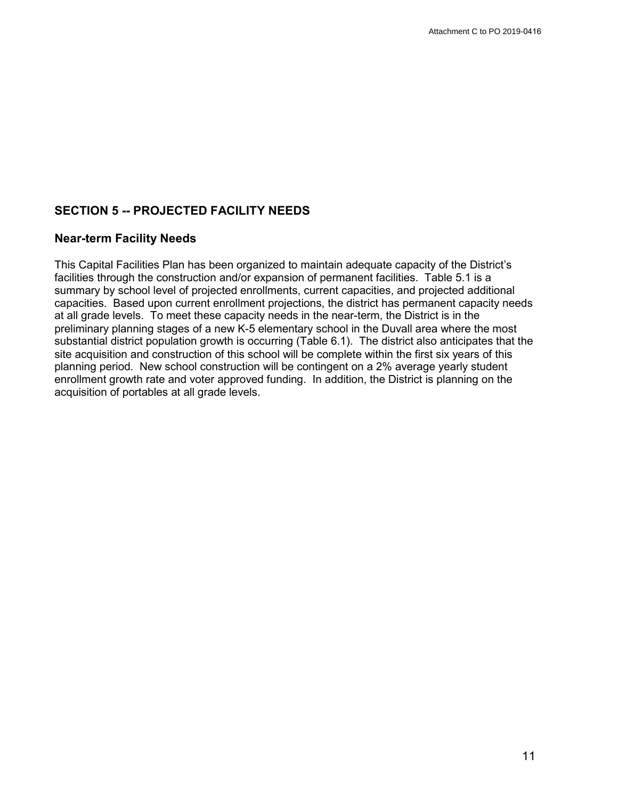## **SECTION 5 -- PROJECTED FACILITY NEEDS**

#### **Near-term Facility Needs**

This Capital Facilities Plan has been organized to maintain adequate capacity of the District's facilities through the construction and/or expansion of permanent facilities. Table 5.1 is a summary by school level of projected enrollments, current capacities, and projected additional capacities. Based upon current enrollment projections, the district has permanent capacity needs at all grade levels. To meet these capacity needs in the near-term, the District is in the preliminary planning stages of a new K-5 elementary school in the Duvall area where the most substantial district population growth is occurring (Table 6.1). The district also anticipates that the site acquisition and construction of this school will be complete within the first six years of this planning period. New school construction will be contingent on a 2% average yearly student enrollment growth rate and voter approved funding. In addition, the District is planning on the acquisition of portables at all grade levels.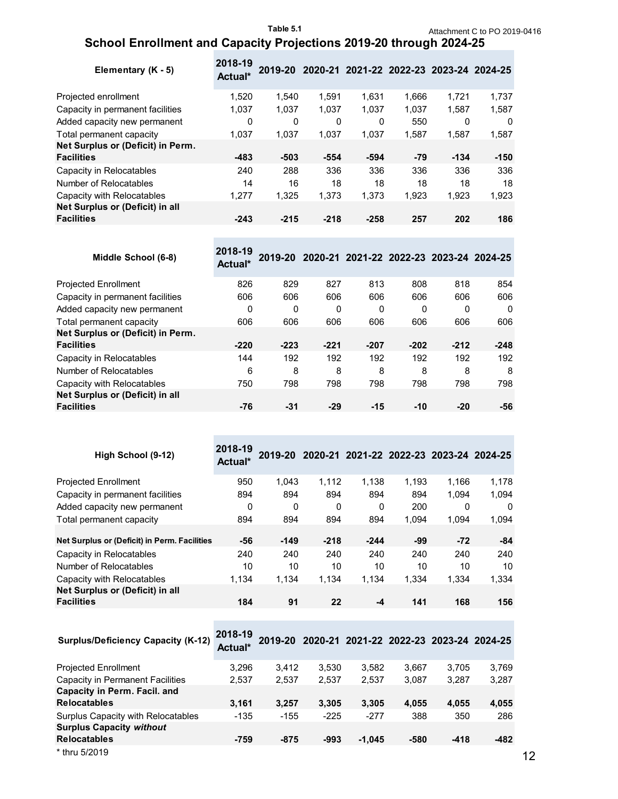## **School Enrollment and Capacity Projections 2019-20 through 2024-25**

| Elementary (K - 5)                | 2018-19<br>Actual* |        | 2019-20 2020-21 2021-22 2022-23 2023-24 2024-25 |        |       |        |        |
|-----------------------------------|--------------------|--------|-------------------------------------------------|--------|-------|--------|--------|
| Projected enrollment              | 1.520              | 1.540  | 1.591                                           | 1.631  | 1.666 | 1.721  | 1,737  |
| Capacity in permanent facilities  | 1,037              | 1.037  | 1.037                                           | 1.037  | 1,037 | 1,587  | 1,587  |
| Added capacity new permanent      | 0                  | 0      | 0                                               | 0      | 550   | 0      | 0      |
| Total permanent capacity          | 1,037              | 1.037  | 1.037                                           | 1.037  | 1,587 | 1,587  | 1,587  |
| Net Surplus or (Deficit) in Perm. |                    |        |                                                 |        |       |        |        |
| <b>Facilities</b>                 | -483               | $-503$ | -554                                            | -594   | -79   | $-134$ | $-150$ |
| Capacity in Relocatables          | 240                | 288    | 336                                             | 336    | 336   | 336    | 336    |
| Number of Relocatables            | 14                 | 16     | 18                                              | 18     | 18    | 18     | 18     |
| Capacity with Relocatables        | 1,277              | 1,325  | 1.373                                           | 1,373  | 1,923 | 1.923  | 1,923  |
| Net Surplus or (Deficit) in all   |                    |        |                                                 |        |       |        |        |
| <b>Facilities</b>                 | $-243$             | $-215$ | $-218$                                          | $-258$ | 257   | 202    | 186    |

| Middle School (6-8)               | 2018-19<br>Actual* | 2019-20 | 2020-21 2021-22 2022-23 2023-24 2024-25 |        |        |        |          |
|-----------------------------------|--------------------|---------|-----------------------------------------|--------|--------|--------|----------|
| <b>Projected Enrollment</b>       | 826                | 829     | 827                                     | 813    | 808    | 818    | 854      |
| Capacity in permanent facilities  | 606                | 606     | 606                                     | 606    | 606    | 606    | 606      |
| Added capacity new permanent      | 0                  | 0       | 0                                       | 0      | 0      | 0      | $\Omega$ |
| Total permanent capacity          | 606                | 606     | 606                                     | 606    | 606    | 606    | 606      |
| Net Surplus or (Deficit) in Perm. |                    |         |                                         |        |        |        |          |
| <b>Facilities</b>                 | $-220$             | $-223$  | $-221$                                  | $-207$ | $-202$ | $-212$ | $-248$   |
| Capacity in Relocatables          | 144                | 192     | 192                                     | 192    | 192    | 192    | 192      |
| Number of Relocatables            | 6                  | 8       | 8                                       | 8      | 8      | 8      | 8        |
| Capacity with Relocatables        | 750                | 798     | 798                                     | 798    | 798    | 798    | 798      |
| Net Surplus or (Deficit) in all   |                    |         |                                         |        |        |        |          |
| <b>Facilities</b>                 | -76                | -31     | $-29$                                   | $-15$  | $-10$  | $-20$  | -56      |

| High School (9-12)                           | 2018-19<br>Actual* | 2019-20 |        |        |       | 2020-21 2021-22 2022-23 2023-24 2024-25 |          |
|----------------------------------------------|--------------------|---------|--------|--------|-------|-----------------------------------------|----------|
| <b>Projected Enrollment</b>                  | 950                | 1.043   | 1.112  | 1.138  | 1.193 | 1.166                                   | 1.178    |
| Capacity in permanent facilities             | 894                | 894     | 894    | 894    | 894   | 1.094                                   | 1.094    |
| Added capacity new permanent                 | 0                  | 0       | 0      | 0      | 200   | $\Omega$                                | $\Omega$ |
| Total permanent capacity                     | 894                | 894     | 894    | 894    | 1.094 | 1.094                                   | 1,094    |
| Net Surplus or (Deficit) in Perm. Facilities | -56                | $-149$  | $-218$ | $-244$ | -99   | $-72$                                   | -84      |
| Capacity in Relocatables                     | 240                | 240     | 240    | 240    | 240   | 240                                     | 240      |
| Number of Relocatables                       | 10                 | 10      | 10     | 10     | 10    | 10                                      | 10       |
| Capacity with Relocatables                   | 1.134              | 1.134   | 1,134  | 1,134  | 1,334 | 1.334                                   | 1,334    |
| Net Surplus or (Deficit) in all              |                    |         |        |        |       |                                         |          |
| <b>Facilities</b>                            | 184                | 91      | 22     | -4     | 141   | 168                                     | 156      |

| <b>Surplus/Deficiency Capacity (K-12)</b> | 2018-19<br>Actual* |        | 2019-20 2020-21 2021-22 2022-23 2023-24 2024-25 |          |       |        |       |
|-------------------------------------------|--------------------|--------|-------------------------------------------------|----------|-------|--------|-------|
| <b>Projected Enrollment</b>               | 3.296              | 3.412  | 3.530                                           | 3.582    | 3,667 | 3.705  | 3,769 |
| Capacity in Permanent Facilities          | 2,537              | 2.537  | 2,537                                           | 2,537    | 3,087 | 3.287  | 3,287 |
| Capacity in Perm. Facil. and              |                    |        |                                                 |          |       |        |       |
| <b>Relocatables</b>                       | 3.161              | 3.257  | 3.305                                           | 3.305    | 4.055 | 4,055  | 4,055 |
| Surplus Capacity with Relocatables        | $-135$             | $-155$ | $-225$                                          | $-277$   | 388   | 350    | 286   |
| <b>Surplus Capacity without</b>           |                    |        |                                                 |          |       |        |       |
| <b>Relocatables</b>                       | $-759$             | $-875$ | -993                                            | $-1.045$ | -580  | $-418$ | -482  |
| * thru 5/2019                             |                    |        |                                                 |          |       |        |       |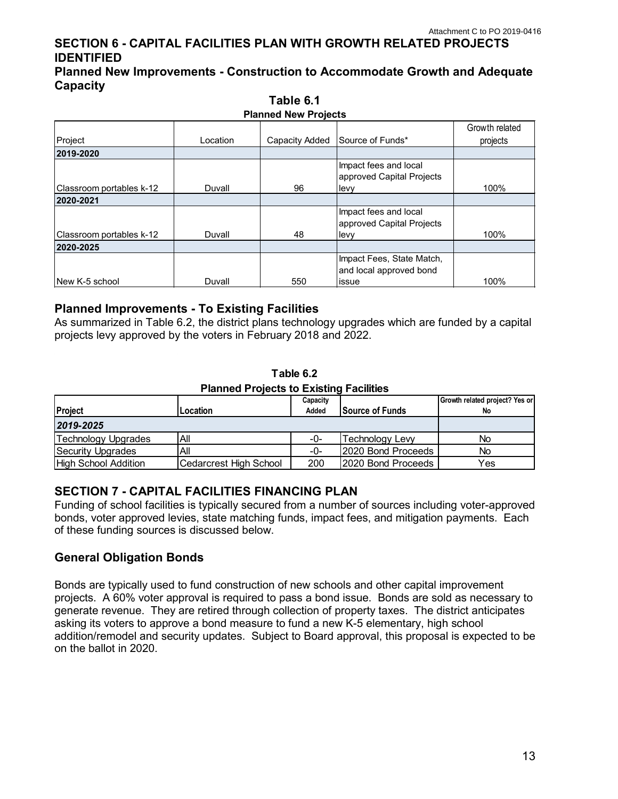## **SECTION 6 - CAPITAL FACILITIES PLAN WITH GROWTH RELATED PROJECTS IDENTIFIED**

**Planned New Improvements - Construction to Accommodate Growth and Adequate Capacity** 

| <b>Planned New Projects</b> |          |                |                                                    |                            |  |  |  |  |  |  |
|-----------------------------|----------|----------------|----------------------------------------------------|----------------------------|--|--|--|--|--|--|
| Project                     | Location | Capacity Added | Source of Funds*                                   | Growth related<br>projects |  |  |  |  |  |  |
| 2019-2020                   |          |                |                                                    |                            |  |  |  |  |  |  |
|                             |          |                | Impact fees and local<br>approved Capital Projects |                            |  |  |  |  |  |  |
| Classroom portables k-12    | Duvall   | 96             | levy                                               | 100%                       |  |  |  |  |  |  |
| 2020-2021                   |          |                |                                                    |                            |  |  |  |  |  |  |
|                             |          |                | Impact fees and local<br>approved Capital Projects |                            |  |  |  |  |  |  |
| Classroom portables k-12    | Duvall   | 48             | levy                                               | 100%                       |  |  |  |  |  |  |
| 2020-2025                   |          |                |                                                    |                            |  |  |  |  |  |  |
|                             |          |                | Impact Fees, State Match,                          |                            |  |  |  |  |  |  |
|                             |          |                | and local approved bond                            |                            |  |  |  |  |  |  |
| <b>INew K-5 school</b>      | Duvall   | 550            | issue                                              | 100%                       |  |  |  |  |  |  |

**Table 6.1**

#### **Planned Improvements - To Existing Facilities**

As summarized in Table 6.2, the district plans technology upgrades which are funded by a capital projects levy approved by the voters in February 2018 and 2022.

**Table 6.2 Planned Projects to Existing Facilities**

| Project                     | Location               | Capacity<br>Added | <b>Source of Funds</b> | Growth related project? Yes or<br>No |
|-----------------------------|------------------------|-------------------|------------------------|--------------------------------------|
| 2019-2025                   |                        |                   |                        |                                      |
| Technology Upgrades         | All                    | -0-               | <b>Technology Levy</b> | No                                   |
| Security Upgrades           | Αll                    | -0-               | 2020 Bond Proceeds     | <b>No</b>                            |
| <b>High School Addition</b> | Cedarcrest High School | 200               | 2020 Bond Proceeds     | Yes                                  |

### **SECTION 7 - CAPITAL FACILITIES FINANCING PLAN**

Funding of school facilities is typically secured from a number of sources including voter-approved bonds, voter approved levies, state matching funds, impact fees, and mitigation payments. Each of these funding sources is discussed below.

### **General Obligation Bonds**

Bonds are typically used to fund construction of new schools and other capital improvement projects. A 60% voter approval is required to pass a bond issue. Bonds are sold as necessary to generate revenue. They are retired through collection of property taxes. The district anticipates asking its voters to approve a bond measure to fund a new K-5 elementary, high school addition/remodel and security updates. Subject to Board approval, this proposal is expected to be on the ballot in 2020.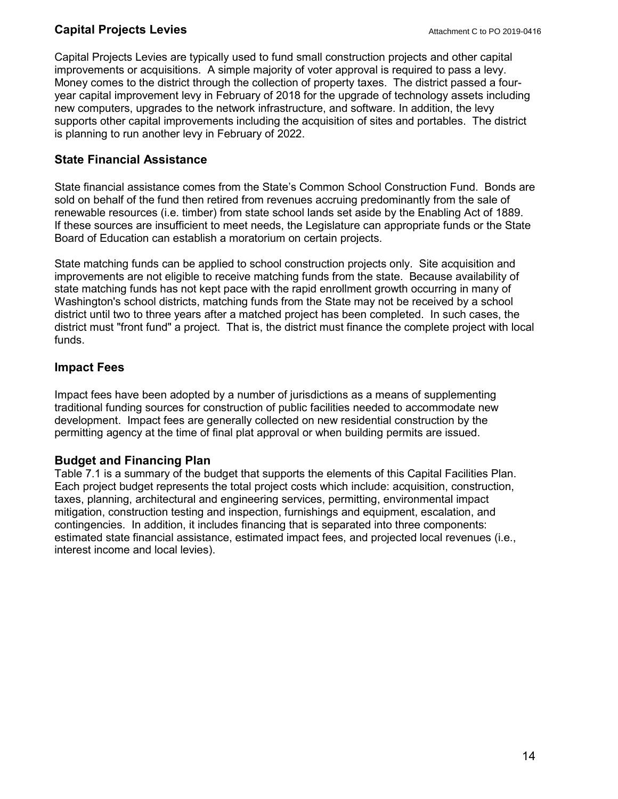## **Capital Projects Levies**

Capital Projects Levies are typically used to fund small construction projects and other capital improvements or acquisitions. A simple majority of voter approval is required to pass a levy. Money comes to the district through the collection of property taxes. The district passed a fouryear capital improvement levy in February of 2018 for the upgrade of technology assets including new computers, upgrades to the network infrastructure, and software. In addition, the levy supports other capital improvements including the acquisition of sites and portables. The district is planning to run another levy in February of 2022.

## **State Financial Assistance**

State financial assistance comes from the State's Common School Construction Fund. Bonds are sold on behalf of the fund then retired from revenues accruing predominantly from the sale of renewable resources (i.e. timber) from state school lands set aside by the Enabling Act of 1889. If these sources are insufficient to meet needs, the Legislature can appropriate funds or the State Board of Education can establish a moratorium on certain projects.

State matching funds can be applied to school construction projects only. Site acquisition and improvements are not eligible to receive matching funds from the state. Because availability of state matching funds has not kept pace with the rapid enrollment growth occurring in many of Washington's school districts, matching funds from the State may not be received by a school district until two to three years after a matched project has been completed. In such cases, the district must "front fund" a project. That is, the district must finance the complete project with local funds.

### **Impact Fees**

Impact fees have been adopted by a number of jurisdictions as a means of supplementing traditional funding sources for construction of public facilities needed to accommodate new development. Impact fees are generally collected on new residential construction by the permitting agency at the time of final plat approval or when building permits are issued.

## **Budget and Financing Plan**

Table 7.1 is a summary of the budget that supports the elements of this Capital Facilities Plan. Each project budget represents the total project costs which include: acquisition, construction, taxes, planning, architectural and engineering services, permitting, environmental impact mitigation, construction testing and inspection, furnishings and equipment, escalation, and contingencies. In addition, it includes financing that is separated into three components: estimated state financial assistance, estimated impact fees, and projected local revenues (i.e., interest income and local levies).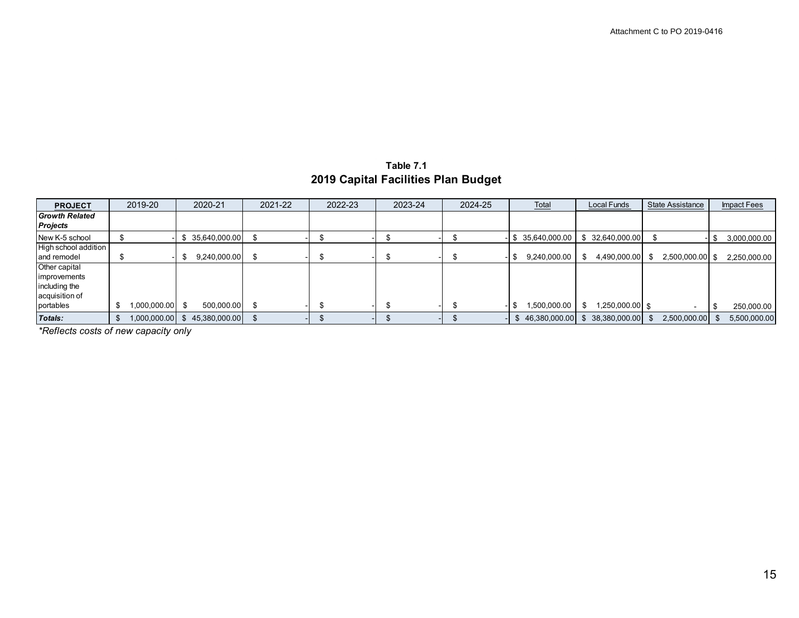**Table 7.1 2019 Capital Facilities Plan Budget**

| <b>PROJECT</b>        | 2019-20            | 2020-21           | 2021-22 | 2022-23 | 2023-24 | 2024-25 | Total               | Local Funds           | State Assistance  | <b>Impact Fees</b> |
|-----------------------|--------------------|-------------------|---------|---------|---------|---------|---------------------|-----------------------|-------------------|--------------------|
| <b>Growth Related</b> |                    |                   |         |         |         |         |                     |                       |                   |                    |
| <b>Projects</b>       |                    |                   |         |         |         |         |                     |                       |                   |                    |
| New K-5 school        |                    | 35,640,000.00     |         |         |         |         | 35,640,000.00<br>-8 | \$32,640,000.00       |                   | 3,000,000.00       |
| High school addition  |                    |                   |         |         |         |         |                     |                       |                   |                    |
| and remodel           |                    | 9,240,000.00      |         |         |         |         | 9,240,000.00        | 4,490,000.00          | $2,500,000.00$ \$ | 2,250,000.00       |
| Other capital         |                    |                   |         |         |         |         |                     |                       |                   |                    |
| improvements          |                    |                   |         |         |         |         |                     |                       |                   |                    |
| including the         |                    |                   |         |         |         |         |                     |                       |                   |                    |
| acquisition of        |                    |                   |         |         |         |         |                     |                       |                   |                    |
| portables             | 00.000.000,1<br>\$ | 500,000.00<br>. ድ |         |         |         | п.      | 1,500,000.00        | 1,250,000.00 \$<br>£. |                   | 250,000.00         |
| Totals:               | 1,000,000.00<br>S  | 45,380,000.00     |         |         |         |         | 46,380,000.00       | 38,380,000.00         | 2,500,000.00      | 5,500,000.00       |

*\*Reflects costs of new capacity only*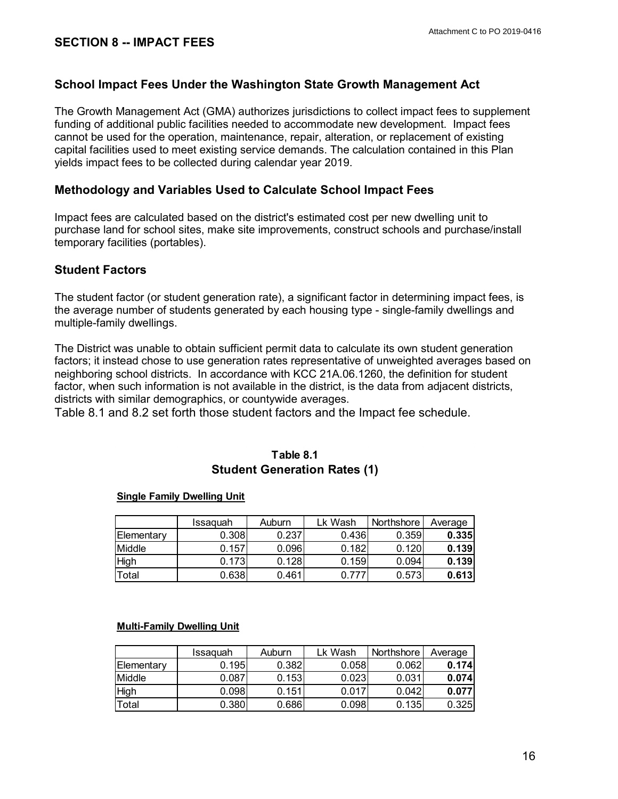### **School Impact Fees Under the Washington State Growth Management Act**

The Growth Management Act (GMA) authorizes jurisdictions to collect impact fees to supplement funding of additional public facilities needed to accommodate new development. Impact fees cannot be used for the operation, maintenance, repair, alteration, or replacement of existing capital facilities used to meet existing service demands. The calculation contained in this Plan yields impact fees to be collected during calendar year 2019.

#### **Methodology and Variables Used to Calculate School Impact Fees**

Impact fees are calculated based on the district's estimated cost per new dwelling unit to purchase land for school sites, make site improvements, construct schools and purchase/install temporary facilities (portables).

#### **Student Factors**

The student factor (or student generation rate), a significant factor in determining impact fees, is the average number of students generated by each housing type - single-family dwellings and multiple-family dwellings.

The District was unable to obtain sufficient permit data to calculate its own student generation factors; it instead chose to use generation rates representative of unweighted averages based on neighboring school districts. In accordance with KCC 21A.06.1260, the definition for student factor, when such information is not available in the district, is the data from adjacent districts, districts with similar demographics, or countywide averages.

Table 8.1 and 8.2 set forth those student factors and the Impact fee schedule.

#### **Table 8.1 Student Generation Rates (1)**

#### **Single Family Dwelling Unit**

|                    | Issaguah | Auburn | Lk Wash | Northshore | Average |
|--------------------|----------|--------|---------|------------|---------|
| <b>IElementarv</b> | 0.308    | 0.237  | 0.436   | 0.359      | 0.335   |
| Middle             | 0.157    | 0.096  | 0.182   | 0.120      | 0.139   |
| High               | 0.173    | 0.128  | 0.159   | 0.094      | 0.139   |
| Total              | 0.638    | 0.461  |         | 0.573      | 0.613   |

#### **Multi-Family Dwelling Unit**

|                   | Issaguah | Auburn | ∟k Wash | Northshore | Average |
|-------------------|----------|--------|---------|------------|---------|
| <b>Elementarv</b> | 0.195    | 0.382  | 0.058   | 0.062      | 0.174   |
| Middle            | 0.087    | 0.153  | 0.023   | 0.031      | 0.074   |
| <b>High</b>       | 0.098    | 0.151  | 0.017   | 0.042      | 0.077   |
| Total             | 0.380    | 0.686  | 0.098   | 0.135      | 0.325   |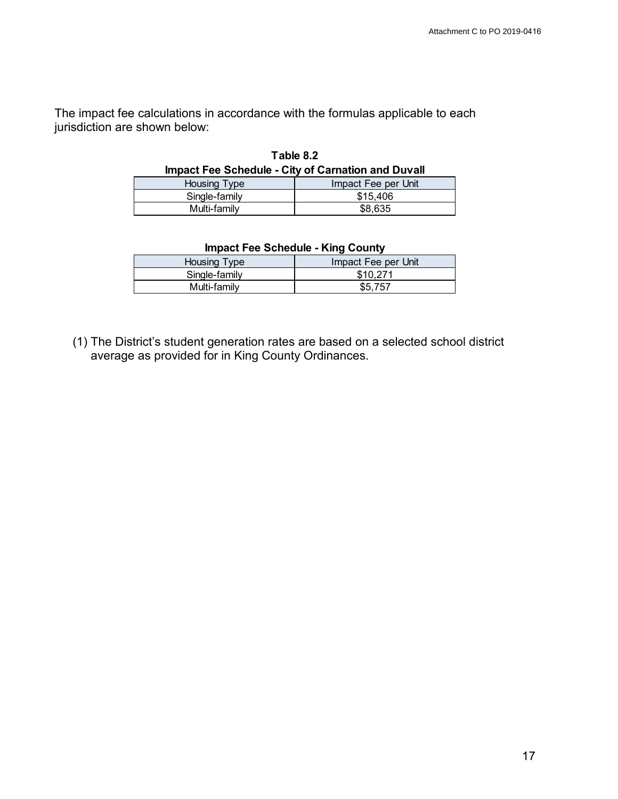The impact fee calculations in accordance with the formulas applicable to each jurisdiction are shown below:

| Table 8.2                                                 |                     |  |  |  |  |  |  |
|-----------------------------------------------------------|---------------------|--|--|--|--|--|--|
| <b>Impact Fee Schedule - City of Carnation and Duvall</b> |                     |  |  |  |  |  |  |
| Housing Type                                              | Impact Fee per Unit |  |  |  |  |  |  |
| Single-family                                             | \$15.406            |  |  |  |  |  |  |
| Multi-family                                              | \$8,635             |  |  |  |  |  |  |

| Impact Fee Schedule - King County |                     |  |  |  |  |  |  |
|-----------------------------------|---------------------|--|--|--|--|--|--|
| Housing Type                      | Impact Fee per Unit |  |  |  |  |  |  |
| Single-family                     | \$10.271            |  |  |  |  |  |  |
| Multi-family                      | \$5.757             |  |  |  |  |  |  |

## **Impact Fee Schedule - King County**

(1) The District's student generation rates are based on a selected school district average as provided for in King County Ordinances.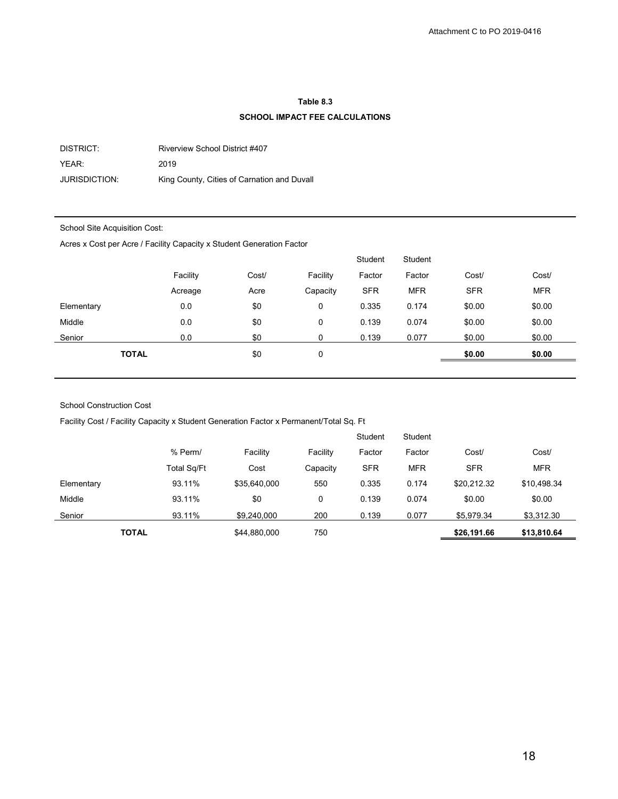#### **Table 8.3**

#### **SCHOOL IMPACT FEE CALCULATIONS**

DISTRICT: Riverview School District #407 YEAR: 2019 JURISDICTION: King County, Cities of Carnation and Duvall

#### School Site Acquisition Cost:

Acres x Cost per Acre / Facility Capacity x Student Generation Factor

|              |          |       |          | Student    | Student    |            |            |
|--------------|----------|-------|----------|------------|------------|------------|------------|
|              | Facility | Cost/ | Facility | Factor     | Factor     | Cost/      | Cost/      |
|              | Acreage  | Acre  | Capacity | <b>SFR</b> | <b>MFR</b> | <b>SFR</b> | <b>MFR</b> |
| Elementary   | 0.0      | \$0   | 0        | 0.335      | 0.174      | \$0.00     | \$0.00     |
| Middle       | 0.0      | \$0   | 0        | 0.139      | 0.074      | \$0.00     | \$0.00     |
| Senior       | 0.0      | \$0   | 0        | 0.139      | 0.077      | \$0.00     | \$0.00     |
| <b>TOTAL</b> |          | \$0   | 0        |            |            | \$0.00     | \$0.00     |
|              |          |       |          |            |            |            |            |

#### School Construction Cost

Facility Cost / Facility Capacity x Student Generation Factor x Permanent/Total Sq. Ft

|              |             |              |          | Student    | Student    |             |             |
|--------------|-------------|--------------|----------|------------|------------|-------------|-------------|
|              | % Perm/     | Facility     | Facility | Factor     | Factor     | Cost/       | Cost/       |
|              | Total Sq/Ft | Cost         | Capacity | <b>SFR</b> | <b>MFR</b> | <b>SFR</b>  | <b>MFR</b>  |
| Elementary   | 93.11%      | \$35,640,000 | 550      | 0.335      | 0.174      | \$20.212.32 | \$10,498.34 |
| Middle       | 93.11%      | \$0          | 0        | 0.139      | 0.074      | \$0.00      | \$0.00      |
| Senior       | 93.11%      | \$9,240,000  | 200      | 0.139      | 0.077      | \$5,979.34  | \$3,312.30  |
| <b>TOTAL</b> |             | \$44,880,000 | 750      |            |            | \$26,191.66 | \$13,810.64 |